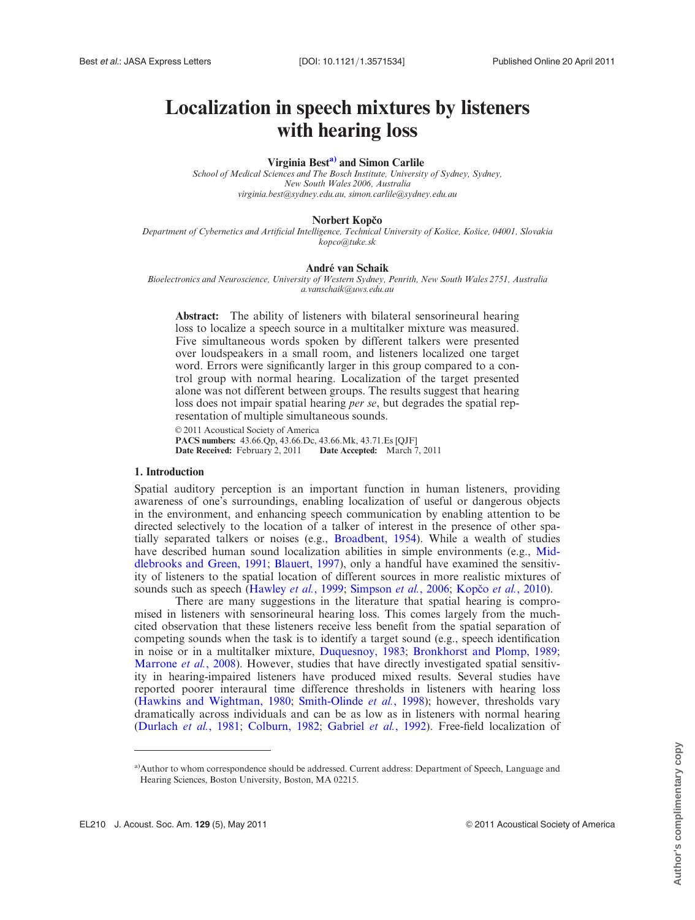# Localization in speech mixtures by listeners with hearing loss

# Virginia Best<sup>a)</sup> and Simon Carlile

School of Medical Sciences and The Bosch Institute, University of Sydney, Sydney, New South Wales 2006, Australia virginia.best@sydney.edu.au, simon.carlile@sydney.edu.au

#### Norbert Kopčo

Department of Cybernetics and Artificial Intelligence, Technical University of Košice, Košice, 04001, Slovakia kopco@tuke.sk

#### André van Schaik

Bioelectronics and Neuroscience, University of Western Sydney, Penrith, New South Wales 2751, Australia a.vanschaik@uws.edu.au

Abstract: The ability of listeners with bilateral sensorineural hearing loss to localize a speech source in a multitalker mixture was measured. Five simultaneous words spoken by different talkers were presented over loudspeakers in a small room, and listeners localized one target word. Errors were significantly larger in this group compared to a control group with normal hearing. Localization of the target presented alone was not different between groups. The results suggest that hearing loss does not impair spatial hearing *per se*, but degrades the spatial representation of multiple simultaneous sounds.

 $© 2011$  Acoustical Society of America PACS numbers: 43.66.Qp, 43.66.Dc, 43.66.Mk, 43.71.Es [QJF] Date Received: February 2, 2011

#### 1. Introduction

Spatial auditory perception is an important function in human listeners, providing awareness of one's surroundings, enabling localization of useful or dangerous objects in the environment, and enhancing speech communication by enabling attention to be directed selectively to the location of a talker of interest in the presence of other spatially separated talkers or noises (e.g., [Broadbent, 1954\)](#page-4-0). While a wealth of studies have described human sound localization abilities in simple environments (e.g., [Mid](#page-5-0)[dlebrooks and Green, 1991;](#page-5-0) [Blauert, 1997](#page-4-0)), only a handful have examined the sensitivity of listeners to the spatial location of different sources in more realistic mixtures of sounds such as speech ([Hawley](#page-5-0) et al., 1999; [Simpson](#page-5-0) et al., 2006; Kopčo et al., 2010).

There are many suggestions in the literature that spatial hearing is compromised in listeners with sensorineural hearing loss. This comes largely from the muchcited observation that these listeners receive less benefit from the spatial separation of competing sounds when the task is to identify a target sound (e.g., speech identification in noise or in a multitalker mixture, [Duquesnoy, 1983;](#page-4-0) [Bronkhorst and Plomp, 1989;](#page-4-0) [Marrone](#page-5-0) *et al.*, 2008). However, studies that have directly investigated spatial sensitivity in hearing-impaired listeners have produced mixed results. Several studies have reported poorer interaural time difference thresholds in listeners with hearing loss ([Hawkins and Wightman, 1980](#page-5-0); [Smith-Olinde](#page-5-0) *et al.*, 1998); however, thresholds vary dramatically across individuals and can be as low as in listeners with normal hearing ([Durlach](#page-4-0) et al., 1981; [Colburn, 1982](#page-4-0); [Gabriel](#page-4-0) et al., 1992). Free-field localization of

<sup>&</sup>lt;sup>a)</sup>Author to whom correspondence should be addressed. Current address: Department of Speech, Language and Hearing Sciences, Boston University, Boston, MA 02215.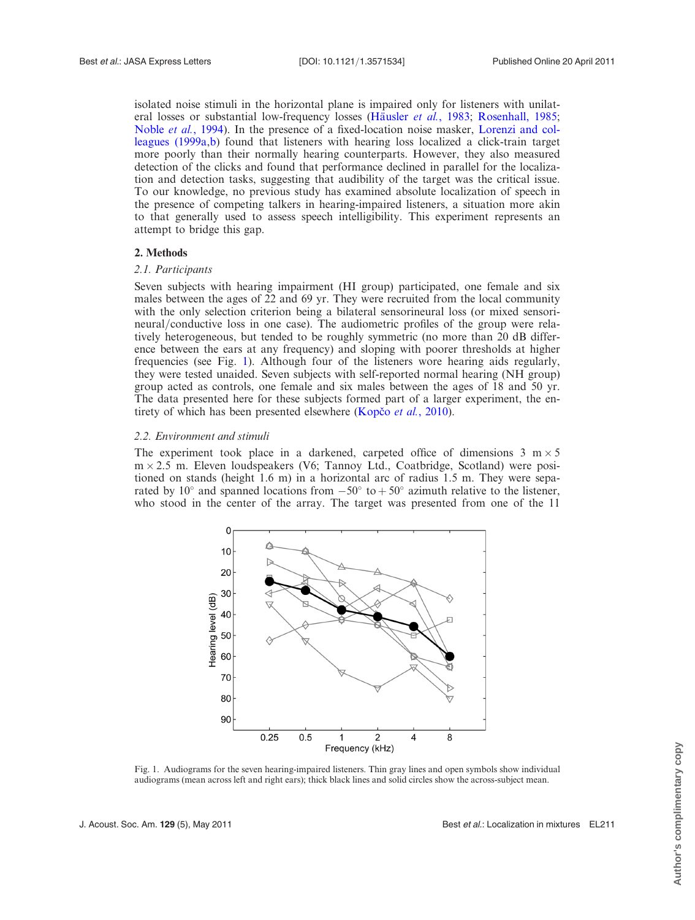isolated noise stimuli in the horizontal plane is impaired only for listeners with unilat-eral losses or substantial low-frequency losses (Häusler et al., 1983; [Rosenhall, 1985;](#page-5-0) Noble et al.[, 1994\)](#page-5-0). In the presence of a fixed-location noise masker, [Lorenzi and col](#page-5-0)[leagues \(1999a](#page-5-0),[b](#page-5-0)) found that listeners with hearing loss localized a click-train target more poorly than their normally hearing counterparts. However, they also measured detection of the clicks and found that performance declined in parallel for the localization and detection tasks, suggesting that audibility of the target was the critical issue. To our knowledge, no previous study has examined absolute localization of speech in the presence of competing talkers in hearing-impaired listeners, a situation more akin to that generally used to assess speech intelligibility. This experiment represents an attempt to bridge this gap.

# 2. Methods

# 2.1. Participants

Seven subjects with hearing impairment (HI group) participated, one female and six males between the ages of 22 and 69 yr. They were recruited from the local community with the only selection criterion being a bilateral sensorineural loss (or mixed sensorineural/conductive loss in one case). The audiometric profiles of the group were relatively heterogeneous, but tended to be roughly symmetric (no more than 20 dB difference between the ears at any frequency) and sloping with poorer thresholds at higher frequencies (see Fig. 1). Although four of the listeners wore hearing aids regularly, they were tested unaided. Seven subjects with self-reported normal hearing (NH group) group acted as controls, one female and six males between the ages of 18 and 50 yr. The data presented here for these subjects formed part of a larger experiment, the entirety of which has been presented elsewhere (Kopco et al., 2010).

# 2.2. Environment and stimuli

The experiment took place in a darkened, carpeted office of dimensions  $3 \text{ m} \times 5$  $m \times 2.5$  m. Eleven loudspeakers (V6; Tannoy Ltd., Coatbridge, Scotland) were positioned on stands (height 1.6 m) in a horizontal arc of radius 1.5 m. They were separated by 10° and spanned locations from  $-50^{\circ}$  to  $+50^{\circ}$  azimuth relative to the listener, who stood in the center of the array. The target was presented from one of the 11



Fig. 1. Audiograms for the seven hearing-impaired listeners. Thin gray lines and open symbols show individual audiograms (mean across left and right ears); thick black lines and solid circles show the across-subject mean.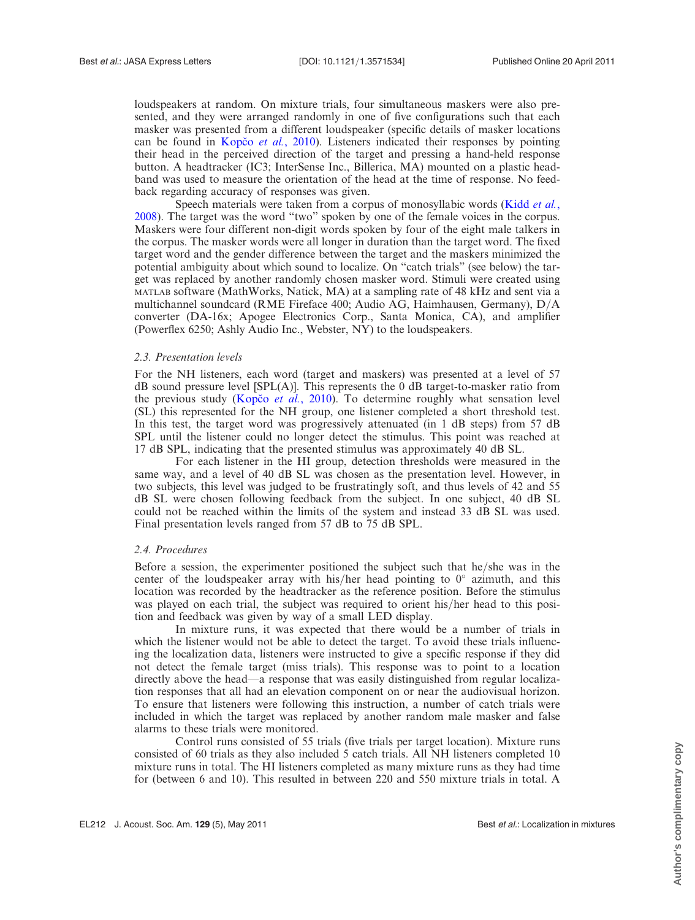loudspeakers at random. On mixture trials, four simultaneous maskers were also presented, and they were arranged randomly in one of five configurations such that each masker was presented from a different loudspeaker (specific details of masker locations can be found in Kopco *et al.*, 2010). Listeners indicated their responses by pointing their head in the perceived direction of the target and pressing a hand-held response button. A headtracker (IC3; InterSense Inc., Billerica, MA) mounted on a plastic headband was used to measure the orientation of the head at the time of response. No feedback regarding accuracy of responses was given.

Speech materials were taken from a corpus of monosyllabic words ([Kidd](#page-5-0) et al., [2008\)](#page-5-0). The target was the word "two" spoken by one of the female voices in the corpus. Maskers were four different non-digit words spoken by four of the eight male talkers in the corpus. The masker words were all longer in duration than the target word. The fixed target word and the gender difference between the target and the maskers minimized the potential ambiguity about which sound to localize. On "catch trials" (see below) the target was replaced by another randomly chosen masker word. Stimuli were created using MATLAB software (MathWorks, Natick, MA) at a sampling rate of 48 kHz and sent via a multichannel soundcard (RME Fireface 400; Audio AG, Haimhausen, Germany), D/A converter (DA-16x; Apogee Electronics Corp., Santa Monica, CA), and amplifier (Powerflex 6250; Ashly Audio Inc., Webster, NY) to the loudspeakers.

### 2.3. Presentation levels

For the NH listeners, each word (target and maskers) was presented at a level of 57  $dB$  sound pressure level [SPL(A)]. This represents the 0 dB target-to-masker ratio from the previous study (Kopčo et al., 2010). To determine roughly what sensation level (SL) this represented for the NH group, one listener completed a short threshold test. In this test, the target word was progressively attenuated (in 1 dB steps) from 57 dB SPL until the listener could no longer detect the stimulus. This point was reached at 17 dB SPL, indicating that the presented stimulus was approximately 40 dB SL.

For each listener in the HI group, detection thresholds were measured in the same way, and a level of 40 dB SL was chosen as the presentation level. However, in two subjects, this level was judged to be frustratingly soft, and thus levels of 42 and 55 dB SL were chosen following feedback from the subject. In one subject, 40 dB SL could not be reached within the limits of the system and instead 33 dB SL was used. Final presentation levels ranged from 57 dB to 75 dB SPL.

# 2.4. Procedures

Before a session, the experimenter positioned the subject such that he/she was in the center of the loudspeaker array with his/her head pointing to  $0^{\circ}$  azimuth, and this location was recorded by the headtracker as the reference position. Before the stimulus was played on each trial, the subject was required to orient his/her head to this position and feedback was given by way of a small LED display.

In mixture runs, it was expected that there would be a number of trials in which the listener would not be able to detect the target. To avoid these trials influencing the localization data, listeners were instructed to give a specific response if they did not detect the female target (miss trials). This response was to point to a location directly above the head—a response that was easily distinguished from regular localization responses that all had an elevation component on or near the audiovisual horizon. To ensure that listeners were following this instruction, a number of catch trials were included in which the target was replaced by another random male masker and false alarms to these trials were monitored.

Control runs consisted of 55 trials (five trials per target location). Mixture runs consisted of 60 trials as they also included 5 catch trials. All NH listeners completed 10 mixture runs in total. The HI listeners completed as many mixture runs as they had time for (between 6 and 10). This resulted in between 220 and 550 mixture trials in total. A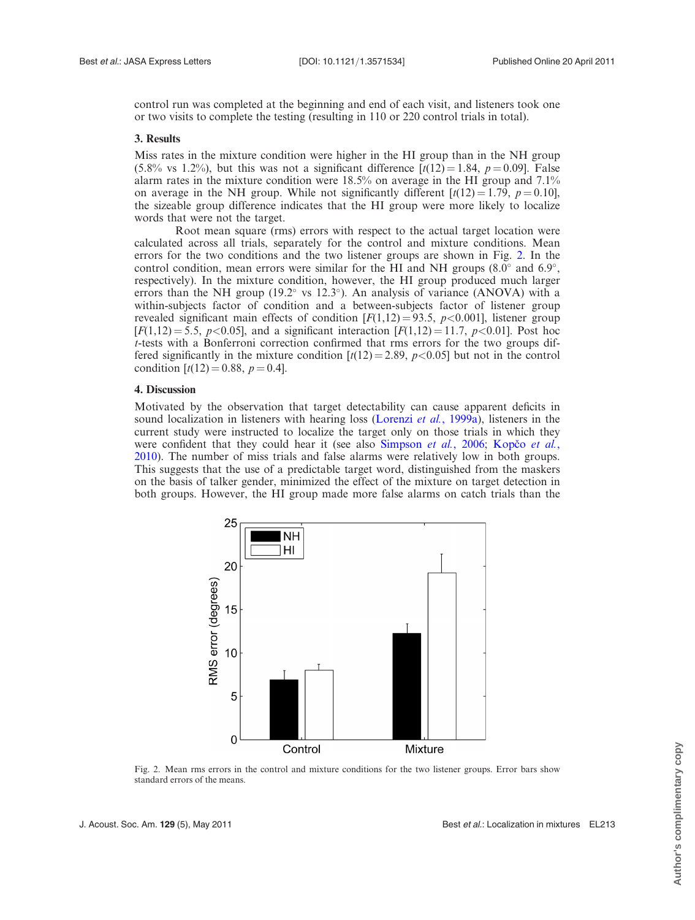control run was completed at the beginning and end of each visit, and listeners took one or two visits to complete the testing (resulting in 110 or 220 control trials in total).

# 3. Results

Miss rates in the mixture condition were higher in the HI group than in the NH group (5.8% vs 1.2%), but this was not a significant difference  $\lceil t(12) = 1.84, p = 0.09 \rceil$ . False alarm rates in the mixture condition were  $18.5\%$  on average in the HI group and  $7.1\%$ on average in the NH group. While not significantly different  $[t(12) = 1.79, p = 0.10]$ , the sizeable group difference indicates that the HI group were more likely to localize words that were not the target.

Root mean square (rms) errors with respect to the actual target location were calculated across all trials, separately for the control and mixture conditions. Mean errors for the two conditions and the two listener groups are shown in Fig. 2. In the control condition, mean errors were similar for the HI and NH groups  $(8.0^{\circ}$  and  $6.9^{\circ}$ , respectively). In the mixture condition, however, the HI group produced much larger errors than the NH group (19.2 $\degree$  vs 12.3 $\degree$ ). An analysis of variance (ANOVA) with a within-subjects factor of condition and a between-subjects factor of listener group revealed significant main effects of condition  $[F(1,12) = 93.5, p < 0.001]$ , listener group  $[F(1,12) = 5.5, p < 0.05]$ , and a significant interaction  $[F(1,12) = 11.7, p < 0.01]$ . Post hoc t-tests with a Bonferroni correction confirmed that rms errors for the two groups differed significantly in the mixture condition  $\left[t(12) = 2.89, p < 0.05\right]$  but not in the control condition  $[t(12) = 0.88, p = 0.4]$ .

#### 4. Discussion

Motivated by the observation that target detectability can cause apparent deficits in sound localization in listeners with hearing loss ([Lorenzi](#page-5-0) et al., 1999a), listeners in the current study were instructed to localize the target only on those trials in which they were confident that they could hear it (see also [Simpson](#page-5-0) *et al.*, 2006; Kopco *et al.*, [2010\)](#page-5-0). The number of miss trials and false alarms were relatively low in both groups. This suggests that the use of a predictable target word, distinguished from the maskers on the basis of talker gender, minimized the effect of the mixture on target detection in both groups. However, the HI group made more false alarms on catch trials than the



Fig. 2. Mean rms errors in the control and mixture conditions for the two listener groups. Error bars show standard errors of the means.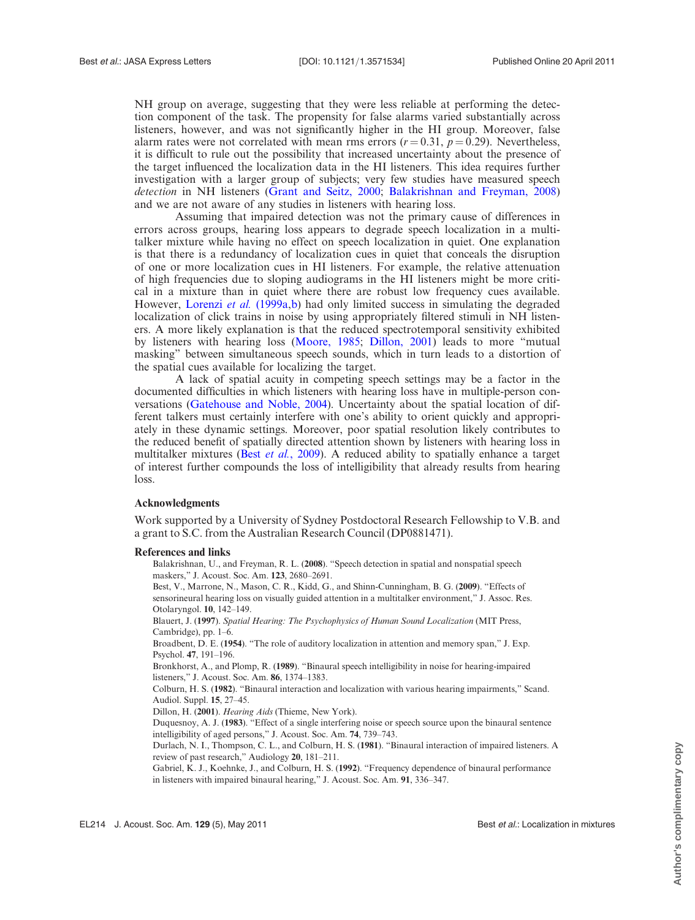<span id="page-4-0"></span>NH group on average, suggesting that they were less reliable at performing the detection component of the task. The propensity for false alarms varied substantially across listeners, however, and was not significantly higher in the HI group. Moreover, false alarm rates were not correlated with mean rms errors ( $r = 0.31$ ,  $p = 0.29$ ). Nevertheless, it is difficult to rule out the possibility that increased uncertainty about the presence of the target influenced the localization data in the HI listeners. This idea requires further investigation with a larger group of subjects; very few studies have measured speech detection in NH listeners ([Grant and Seitz, 2000](#page-5-0); Balakrishnan and Freyman, 2008) and we are not aware of any studies in listeners with hearing loss.

Assuming that impaired detection was not the primary cause of differences in errors across groups, hearing loss appears to degrade speech localization in a multitalker mixture while having no effect on speech localization in quiet. One explanation is that there is a redundancy of localization cues in quiet that conceals the disruption of one or more localization cues in HI listeners. For example, the relative attenuation of high frequencies due to sloping audiograms in the HI listeners might be more critical in a mixture than in quiet where there are robust low frequency cues available. However, [Lorenzi](#page-5-0) et al. (1999a,[b\)](#page-5-0) had only limited success in simulating the degraded localization of click trains in noise by using appropriately filtered stimuli in NH listeners. A more likely explanation is that the reduced spectrotemporal sensitivity exhibited by listeners with hearing loss [\(Moore, 1985](#page-5-0); Dillon, 2001) leads to more "mutual masking" between simultaneous speech sounds, which in turn leads to a distortion of the spatial cues available for localizing the target.

A lack of spatial acuity in competing speech settings may be a factor in the documented difficulties in which listeners with hearing loss have in multiple-person conversations ([Gatehouse and Noble, 2004](#page-5-0)). Uncertainty about the spatial location of different talkers must certainly interfere with one's ability to orient quickly and appropriately in these dynamic settings. Moreover, poor spatial resolution likely contributes to the reduced benefit of spatially directed attention shown by listeners with hearing loss in multitalker mixtures (Best *et al.*, 2009). A reduced ability to spatially enhance a target of interest further compounds the loss of intelligibility that already results from hearing loss.

#### Acknowledgments

Work supported by a University of Sydney Postdoctoral Research Fellowship to V.B. and a grant to S.C. from the Australian Research Council (DP0881471).

#### References and links

Balakrishnan, U., and Freyman, R. L. (2008). "Speech detection in spatial and nonspatial speech maskers," J. Acoust. Soc. Am. 123, 2680–2691.

Best, V., Marrone, N., Mason, C. R., Kidd, G., and Shinn-Cunningham, B. G. (2009). "Effects of sensorineural hearing loss on visually guided attention in a multitalker environment," J. Assoc. Res. Otolaryngol. 10, 142–149.

Blauert, J. (1997). Spatial Hearing: The Psychophysics of Human Sound Localization (MIT Press, Cambridge), pp. 1–6.

Broadbent, D. E. (1954). "The role of auditory localization in attention and memory span," J. Exp. Psychol. 47, 191–196.

Bronkhorst, A., and Plomp, R. (1989). "Binaural speech intelligibility in noise for hearing-impaired listeners," J. Acoust. Soc. Am. 86, 1374–1383.

Colburn, H. S. (1982). "Binaural interaction and localization with various hearing impairments," Scand. Audiol. Suppl. 15, 27–45.

Dillon, H. (2001). Hearing Aids (Thieme, New York).

Duquesnoy, A. J. (1983). "Effect of a single interfering noise or speech source upon the binaural sentence intelligibility of aged persons," J. Acoust. Soc. Am. 74, 739–743.

Durlach, N. I., Thompson, C. L., and Colburn, H. S. (1981). "Binaural interaction of impaired listeners. A review of past research," Audiology 20, 181–211.

Gabriel, K. J., Koehnke, J., and Colburn, H. S. (1992). "Frequency dependence of binaural performance in listeners with impaired binaural hearing," J. Acoust. Soc. Am. 91, 336–347.